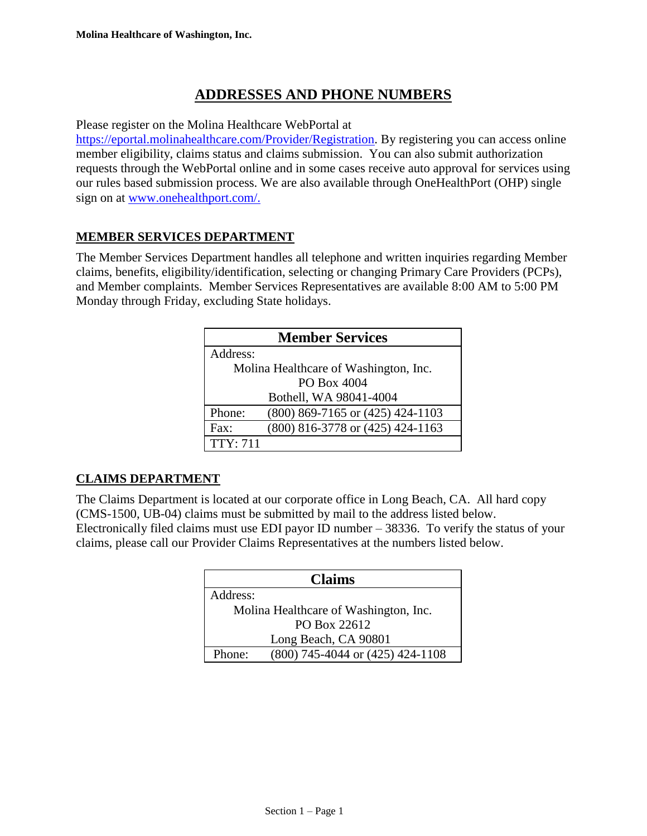# **ADDRESSES AND PHONE NUMBERS**

Please register on the Molina Healthcare WebPortal at

[https://eportal.molinahealthcare.com/Provider/Registration.](https://providersearch.molinahealthcare.com/) By registering you can access online member eligibility, claims status and claims submission. You can also submit authorization requests through the WebPortal online and in some cases receive auto approval for services using our rules based submission process. We are also available through OneHealthPort (OHP) single sign on at [www.onehealthport.com/.](https://www.onehealthport.com/)

## **MEMBER SERVICES DEPARTMENT**

The Member Services Department handles all telephone and written inquiries regarding Member claims, benefits, eligibility/identification, selecting or changing Primary Care Providers (PCPs), and Member complaints. Member Services Representatives are available 8:00 AM to 5:00 PM Monday through Friday, excluding State holidays.

| <b>Member Services</b>                |                                      |  |
|---------------------------------------|--------------------------------------|--|
| Address:                              |                                      |  |
| Molina Healthcare of Washington, Inc. |                                      |  |
|                                       | PO Box 4004                          |  |
|                                       | Bothell, WA 98041-4004               |  |
| Phone:                                | $(800)$ 869-7165 or $(425)$ 424-1103 |  |
| $\text{Fax}$ :                        | (800) 816-3778 or (425) 424-1163     |  |
| <b>TTY: 711</b>                       |                                      |  |

# **CLAIMS DEPARTMENT**

The Claims Department is located at our corporate office in Long Beach, CA. All hard copy (CMS-1500, UB-04) claims must be submitted by mail to the address listed below. Electronically filed claims must use EDI payor ID number – 38336. To verify the status of your claims, please call our Provider Claims Representatives at the numbers listed below.

| <b>Claims</b>                              |  |
|--------------------------------------------|--|
| Address:                                   |  |
| Molina Healthcare of Washington, Inc.      |  |
| PO Box 22612                               |  |
| Long Beach, CA 90801                       |  |
| (800) 745-4044 or (425) 424-1108<br>Phone: |  |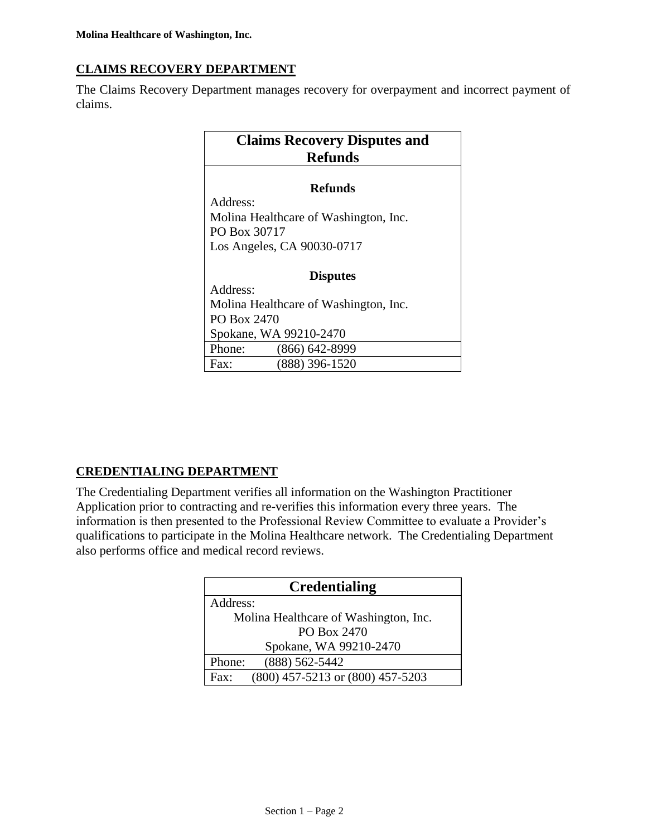# **CLAIMS RECOVERY DEPARTMENT**

The Claims Recovery Department manages recovery for overpayment and incorrect payment of claims.

| <b>Claims Recovery Disputes and</b><br><b>Refunds</b> |  |  |
|-------------------------------------------------------|--|--|
| Refunds                                               |  |  |
| Address:                                              |  |  |
| Molina Healthcare of Washington, Inc.                 |  |  |
| PO Box 30717                                          |  |  |
| Los Angeles, CA 90030-0717                            |  |  |
|                                                       |  |  |
| <b>Disputes</b>                                       |  |  |
| Address:                                              |  |  |
| Molina Healthcare of Washington, Inc.                 |  |  |
| PO Box 2470                                           |  |  |
| Spokane, WA 99210-2470                                |  |  |
| Phone:<br>$(866) 642 - 8999$                          |  |  |
| $(888)$ 396-1520<br>Fax:                              |  |  |

# **CREDENTIALING DEPARTMENT**

The Credentialing Department verifies all information on the Washington Practitioner Application prior to contracting and re-verifies this information every three years. The information is then presented to the Professional Review Committee to evaluate a Provider's qualifications to participate in the Molina Healthcare network. The Credentialing Department also performs office and medical record reviews.

| <b>Credentialing</b>                               |  |
|----------------------------------------------------|--|
| Address:                                           |  |
| Molina Healthcare of Washington, Inc.              |  |
| PO Box 2470                                        |  |
| Spokane, WA 99210-2470                             |  |
| $(888) 562 - 5442$<br>Phone:                       |  |
| (800) 457-5213 or (800) 457-5203<br>$\text{Fax}$ : |  |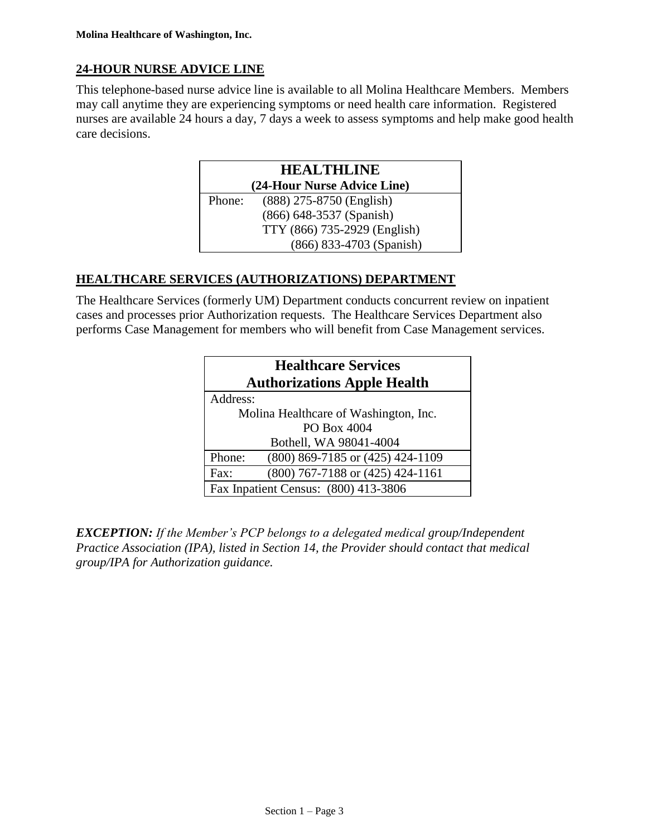# **24-HOUR NURSE ADVICE LINE**

This telephone-based nurse advice line is available to all Molina Healthcare Members. Members may call anytime they are experiencing symptoms or need health care information. Registered nurses are available 24 hours a day, 7 days a week to assess symptoms and help make good health care decisions.

| <b>HEALTHLINE</b>           |                              |
|-----------------------------|------------------------------|
| (24-Hour Nurse Advice Line) |                              |
| Phone:                      | (888) 275-8750 (English)     |
|                             | (866) 648-3537 (Spanish)     |
|                             | TTY (866) 735-2929 (English) |
|                             | (866) 833-4703 (Spanish)     |

## **HEALTHCARE SERVICES (AUTHORIZATIONS) DEPARTMENT**

The Healthcare Services (formerly UM) Department conducts concurrent review on inpatient cases and processes prior Authorization requests. The Healthcare Services Department also performs Case Management for members who will benefit from Case Management services.

| <b>Healthcare Services</b><br><b>Authorizations Apple Health</b> |                                       |  |
|------------------------------------------------------------------|---------------------------------------|--|
| Address:                                                         |                                       |  |
|                                                                  | Molina Healthcare of Washington, Inc. |  |
|                                                                  | PO Box 4004                           |  |
|                                                                  | Bothell, WA 98041-4004                |  |
| Phone:                                                           | (800) 869-7185 or (425) 424-1109      |  |
| Fax:                                                             | $(800)$ 767-7188 or $(425)$ 424-1161  |  |
|                                                                  | Fax Inpatient Census: (800) 413-3806  |  |

*EXCEPTION: If the Member's PCP belongs to a delegated medical group/Independent Practice Association (IPA), listed in Section 14, the Provider should contact that medical group/IPA for Authorization guidance.*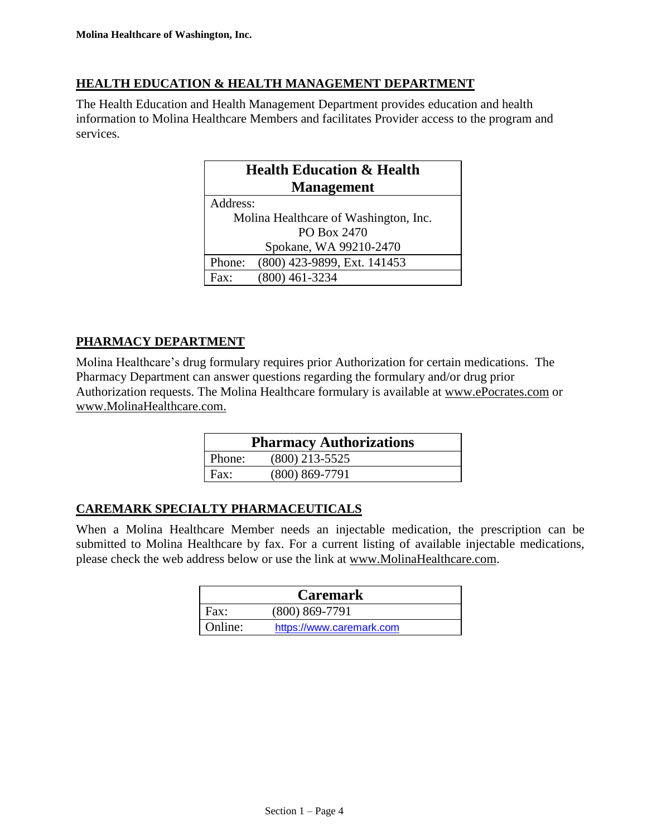#### **HEALTH EDUCATION & HEALTH MANAGEMENT DEPARTMENT**

The Health Education and Health Management Department provides education and health information to Molina Healthcare Members and facilitates Provider access to the program and services.

| <b>Health Education &amp; Health</b>  |
|---------------------------------------|
| <b>Management</b>                     |
| Address:                              |
| Molina Healthcare of Washington, Inc. |
| PO Box 2470                           |
| Spokane, WA 99210-2470                |
| (800) 423-9899, Ext. 141453<br>Phone: |
| $(800)$ 461-3234<br>$\rm{Fax}$ .      |

## **PHARMACY DEPARTMENT**

Molina Healthcare's drug formulary requires prior Authorization for certain medications. The Pharmacy Department can answer questions regarding the formulary and/or drug prior Authorization requests. The Molina Healthcare formulary is available at www.ePocrates.com or www.MolinaHealthcare.com.

| <b>Pharmacy Authorizations</b> |                    |  |
|--------------------------------|--------------------|--|
| Phone:                         | $(800)$ 213-5525   |  |
| Fax:                           | $(800) 869 - 7791$ |  |

#### **CAREMARK SPECIALTY PHARMACEUTICALS**

When a Molina Healthcare Member needs an injectable medication, the prescription can be submitted to Molina Healthcare by fax. For a current listing of available injectable medications, please check the web address below or use the link at [www.MolinaHealthcare.com.](http://www.molinahealthcare.com/)

|         | <b>Caremark</b>          |
|---------|--------------------------|
| Fax:    | $(800) 869 - 7791$       |
| Online: | https://www.caremark.com |